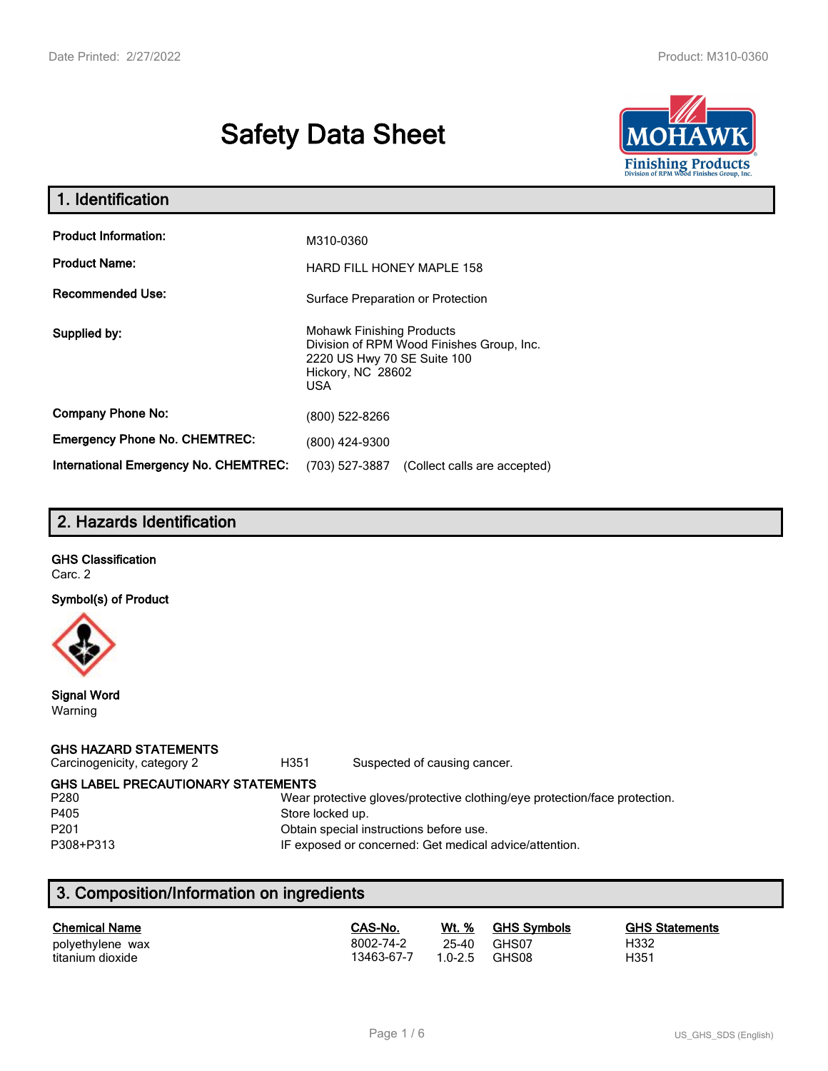# **Safety Data Sheet**



| 1. Identification                                   |                                                                                                                                          |  |  |
|-----------------------------------------------------|------------------------------------------------------------------------------------------------------------------------------------------|--|--|
| <b>Product Information:</b><br><b>Product Name:</b> | M310-0360<br><b>HARD FILL HONEY MAPLE 158</b>                                                                                            |  |  |
| <b>Recommended Use:</b>                             | Surface Preparation or Protection                                                                                                        |  |  |
| Supplied by:                                        | <b>Mohawk Finishing Products</b><br>Division of RPM Wood Finishes Group, Inc.<br>2220 US Hwy 70 SE Suite 100<br>Hickory, NC 28602<br>USA |  |  |
| <b>Company Phone No:</b>                            | (800) 522-8266                                                                                                                           |  |  |
| <b>Emergency Phone No. CHEMTREC:</b>                | (800) 424-9300                                                                                                                           |  |  |
| <b>International Emergency No. CHEMTREC:</b>        | (703) 527-3887<br>(Collect calls are accepted)                                                                                           |  |  |

# **2. Hazards Identification**

# **GHS Classification**

Carc. 2

**Symbol(s) of Product**



**Signal Word** Warning

#### **GHS HAZARD STATEMENTS**

Carcinogenicity, category 2 **H351** Suspected of causing cancer.

**GHS LABEL PRECAUTIONARY STATEMENTS**<br>P280 Wear p

#### Wear protective gloves/protective clothing/eye protection/face protection. P405 Store locked up.

P201 Obtain special instructions before use.

P308+P313 IF exposed or concerned: Get medical advice/attention.

# **3. Composition/Information on ingredients**

| Wt. %<br><b>GHS Symbols</b><br><b>GHS Statements</b>   |
|--------------------------------------------------------|
| H332<br>GHS07<br>25-40<br>H351<br>$1.0 - 2.5$<br>GHS08 |
|                                                        |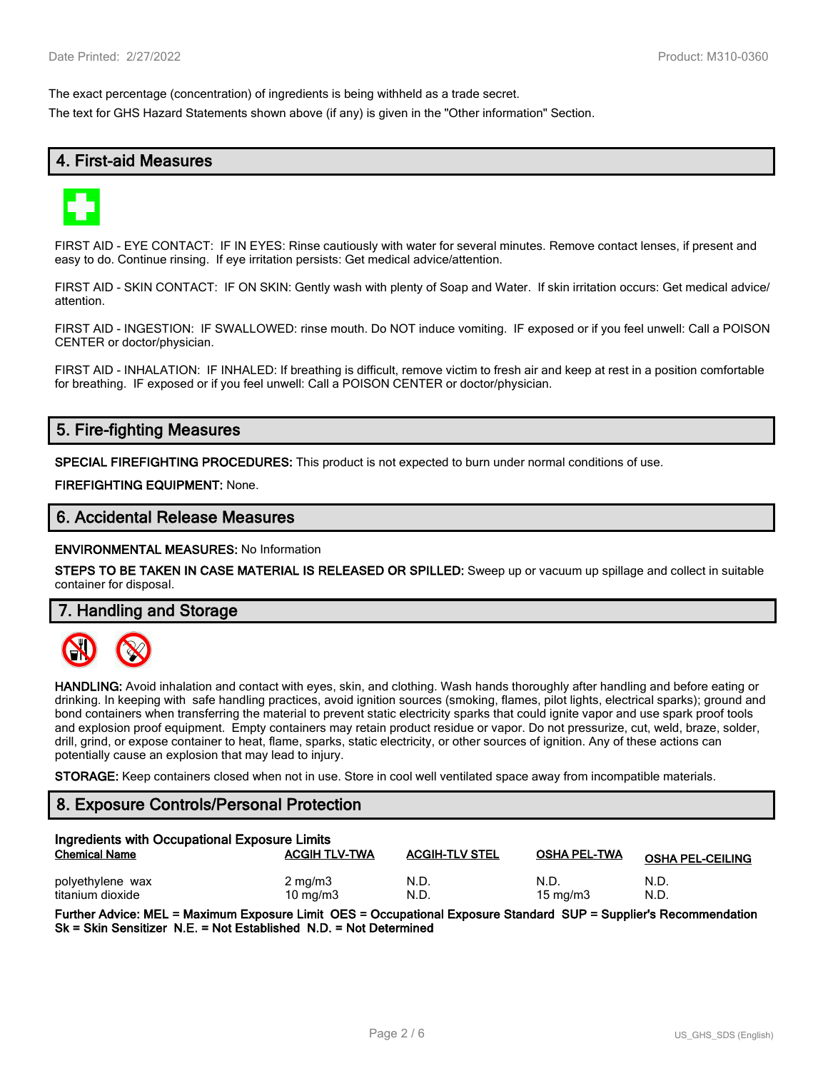The exact percentage (concentration) of ingredients is being withheld as a trade secret.

The text for GHS Hazard Statements shown above (if any) is given in the "Other information" Section.

## **4. First-aid Measures**



FIRST AID - EYE CONTACT: IF IN EYES: Rinse cautiously with water for several minutes. Remove contact lenses, if present and easy to do. Continue rinsing. If eye irritation persists: Get medical advice/attention.

FIRST AID - SKIN CONTACT: IF ON SKIN: Gently wash with plenty of Soap and Water. If skin irritation occurs: Get medical advice/ attention.

FIRST AID - INGESTION: IF SWALLOWED: rinse mouth. Do NOT induce vomiting. IF exposed or if you feel unwell: Call a POISON CENTER or doctor/physician.

FIRST AID - INHALATION: IF INHALED: If breathing is difficult, remove victim to fresh air and keep at rest in a position comfortable for breathing. IF exposed or if you feel unwell: Call a POISON CENTER or doctor/physician.

## **5. Fire-fighting Measures**

**SPECIAL FIREFIGHTING PROCEDURES:** This product is not expected to burn under normal conditions of use.

**FIREFIGHTING EQUIPMENT:** None.

### **6. Accidental Release Measures**

**ENVIRONMENTAL MEASURES:** No Information

**STEPS TO BE TAKEN IN CASE MATERIAL IS RELEASED OR SPILLED:** Sweep up or vacuum up spillage and collect in suitable container for disposal.

**7. Handling and Storage**



**HANDLING:** Avoid inhalation and contact with eyes, skin, and clothing. Wash hands thoroughly after handling and before eating or drinking. In keeping with safe handling practices, avoid ignition sources (smoking, flames, pilot lights, electrical sparks); ground and bond containers when transferring the material to prevent static electricity sparks that could ignite vapor and use spark proof tools and explosion proof equipment. Empty containers may retain product residue or vapor. Do not pressurize, cut, weld, braze, solder, drill, grind, or expose container to heat, flame, sparks, static electricity, or other sources of ignition. Any of these actions can potentially cause an explosion that may lead to injury.

**STORAGE:** Keep containers closed when not in use. Store in cool well ventilated space away from incompatible materials.

### **8. Exposure Controls/Personal Protection**

| Ingredients with Occupational Exposure Limits |                      |                       |                     |                         |  |
|-----------------------------------------------|----------------------|-----------------------|---------------------|-------------------------|--|
| <b>Chemical Name</b>                          | <b>ACGIH TLV-TWA</b> | <b>ACGIH-TLV STEL</b> | <b>OSHA PEL-TWA</b> | <b>OSHA PEL-CEILING</b> |  |
| polyethylene wax                              | $2 \text{ mg/m}$     | N.D                   | N.D.                | N.D.                    |  |
| titanium dioxide                              | $10 \text{ mg/m}$    | N.D                   | $15 \text{ mg/m}$   | N.D.                    |  |

**Further Advice: MEL = Maximum Exposure Limit OES = Occupational Exposure Standard SUP = Supplier's Recommendation Sk = Skin Sensitizer N.E. = Not Established N.D. = Not Determined**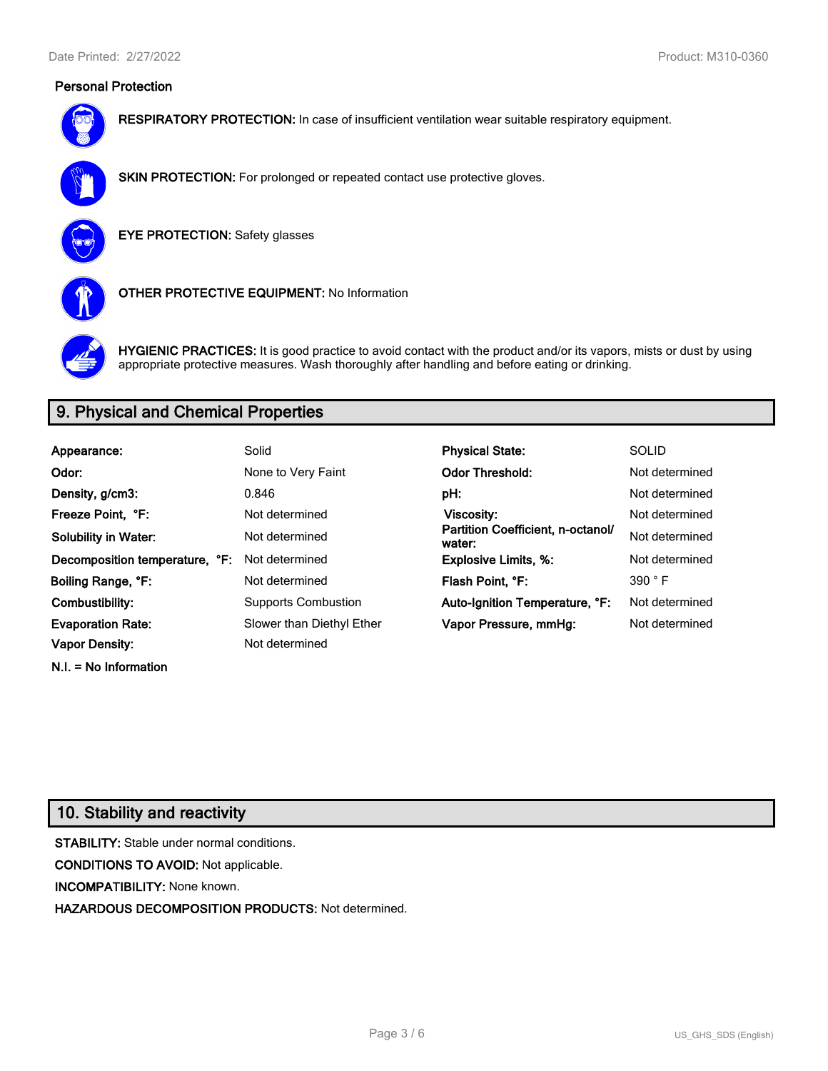### **Personal Protection**



**RESPIRATORY PROTECTION:** In case of insufficient ventilation wear suitable respiratory equipment.



**SKIN PROTECTION:** For prolonged or repeated contact use protective gloves.

**EYE PROTECTION:** Safety glasses



**OTHER PROTECTIVE EQUIPMENT:** No Information



**HYGIENIC PRACTICES:** It is good practice to avoid contact with the product and/or its vapors, mists or dust by using appropriate protective measures. Wash thoroughly after handling and before eating or drinking.

# **9. Physical and Chemical Properties**

| Appearance:                    | Solid                      | <b>Physical State:</b>                      | <b>SOLID</b>   |
|--------------------------------|----------------------------|---------------------------------------------|----------------|
| Odor:                          | None to Very Faint         | <b>Odor Threshold:</b>                      | Not determined |
| Density, g/cm3:                | 0.846                      | pH:                                         | Not determined |
| Freeze Point. °F:              | Not determined             | Viscosity:                                  | Not determined |
| <b>Solubility in Water:</b>    | Not determined             | Partition Coefficient, n-octanol/<br>water: | Not determined |
| Decomposition temperature, °F: | Not determined             | <b>Explosive Limits, %:</b>                 | Not determined |
| Boiling Range, °F:             | Not determined             | Flash Point, °F:                            | 390 °F         |
| Combustibility:                | <b>Supports Combustion</b> | Auto-Ignition Temperature, °F:              | Not determined |
| <b>Evaporation Rate:</b>       | Slower than Diethyl Ether  | Vapor Pressure, mmHg:                       | Not determined |
| <b>Vapor Density:</b>          | Not determined             |                                             |                |

# **10. Stability and reactivity**

**N.I. = No Information**

**STABILITY:** Stable under normal conditions. **CONDITIONS TO AVOID:** Not applicable. **INCOMPATIBILITY:** None known. **HAZARDOUS DECOMPOSITION PRODUCTS:** Not determined.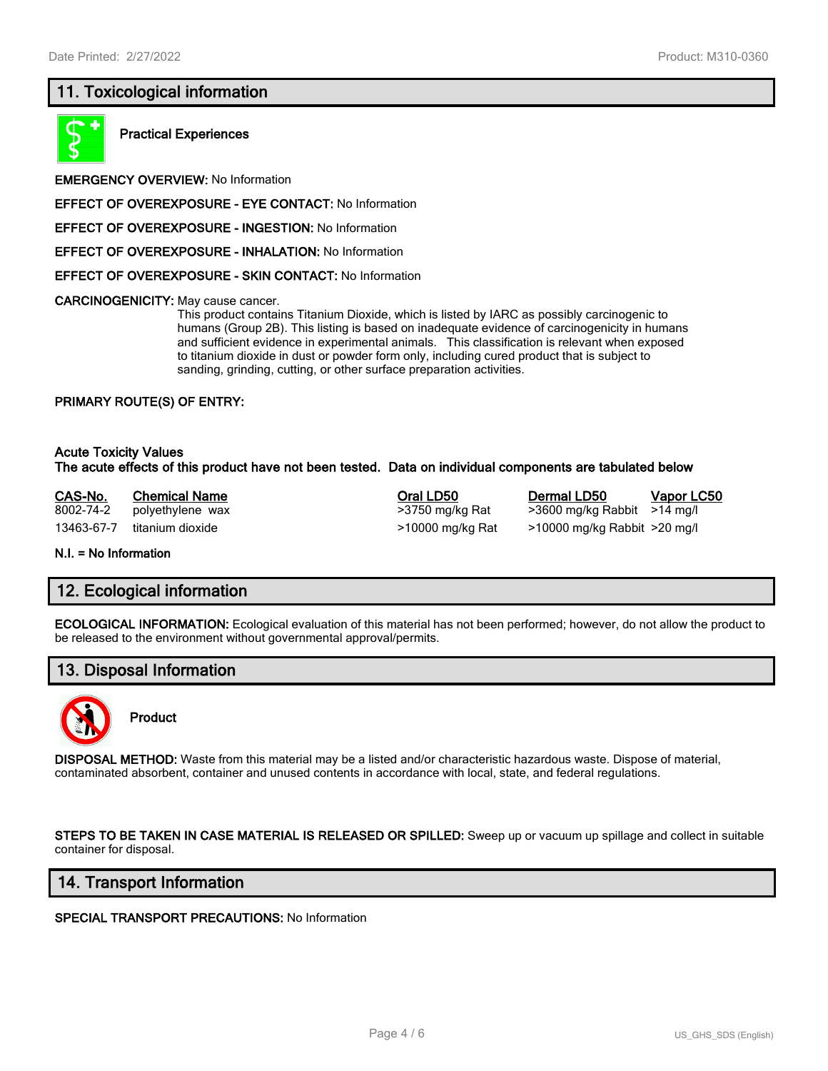### **11. Toxicological information**



**Practical Experiences**

**EMERGENCY OVERVIEW:** No Information

**EFFECT OF OVEREXPOSURE - EYE CONTACT:** No Information

**EFFECT OF OVEREXPOSURE - INGESTION:** No Information

**EFFECT OF OVEREXPOSURE - INHALATION:** No Information

**EFFECT OF OVEREXPOSURE - SKIN CONTACT:** No Information

**CARCINOGENICITY:** May cause cancer.

This product contains Titanium Dioxide, which is listed by IARC as possibly carcinogenic to humans (Group 2B). This listing is based on inadequate evidence of carcinogenicity in humans and sufficient evidence in experimental animals. This classification is relevant when exposed to titanium dioxide in dust or powder form only, including cured product that is subject to sanding, grinding, cutting, or other surface preparation activities.

#### **PRIMARY ROUTE(S) OF ENTRY:**

#### **Acute Toxicity Values The acute effects of this product have not been tested. Data on individual components are tabulated below**

**CAS-No. Chemical Name Oral LD50 Dermal LD50 Vapor LC50** 8002-74-2 polyethylene wax >3750 mg/kg Rat >3600 mg/kg Rabbit >14 mg/l 13463-67-7 titanium dioxide >10000 mg/kg Rat >10000 mg/kg Rabbit >20 mg/l

**N.I. = No Information**

#### **12. Ecological information**

**ECOLOGICAL INFORMATION:** Ecological evaluation of this material has not been performed; however, do not allow the product to be released to the environment without governmental approval/permits.

### **13. Disposal Information**



**Product**

**DISPOSAL METHOD:** Waste from this material may be a listed and/or characteristic hazardous waste. Dispose of material, contaminated absorbent, container and unused contents in accordance with local, state, and federal regulations.

**STEPS TO BE TAKEN IN CASE MATERIAL IS RELEASED OR SPILLED:** Sweep up or vacuum up spillage and collect in suitable container for disposal.

#### **14. Transport Information**

**SPECIAL TRANSPORT PRECAUTIONS:** No Information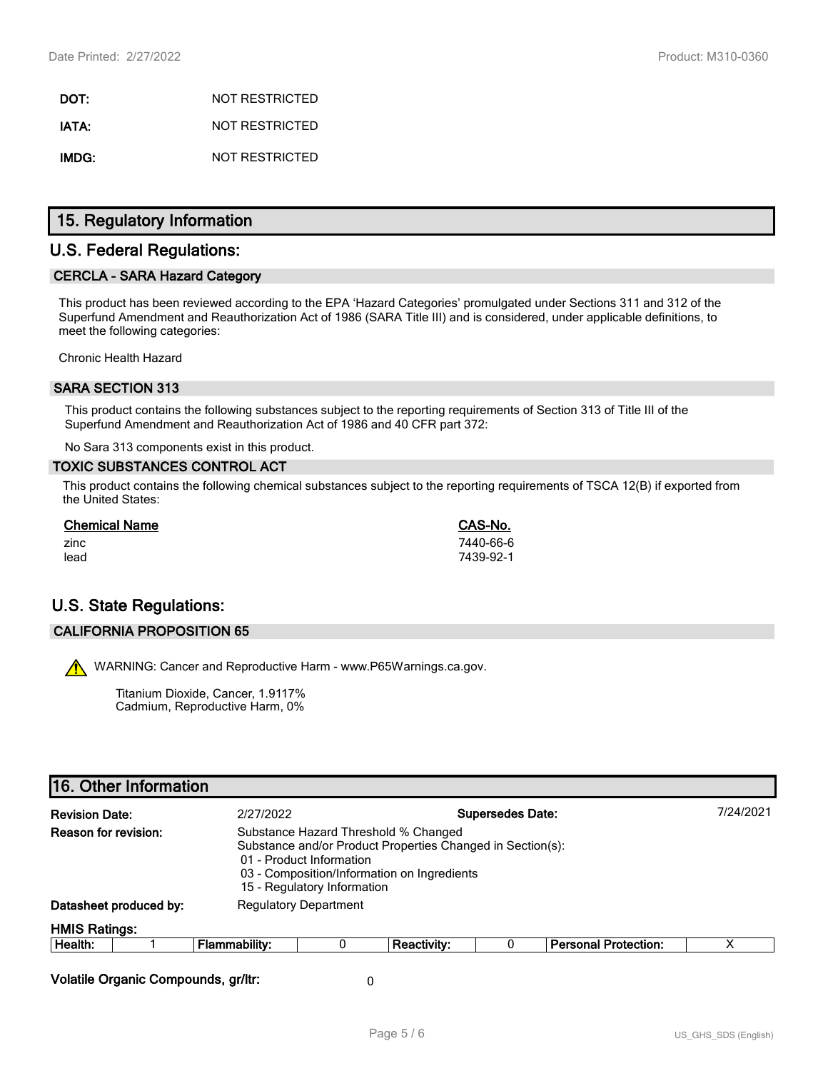**DOT:** NOT RESTRICTED **IATA:** NOT RESTRICTED **IMDG:** NOT RESTRICTED

### **15. Regulatory Information**

### **U.S. Federal Regulations:**

#### **CERCLA - SARA Hazard Category**

This product has been reviewed according to the EPA 'Hazard Categories' promulgated under Sections 311 and 312 of the Superfund Amendment and Reauthorization Act of 1986 (SARA Title III) and is considered, under applicable definitions, to meet the following categories:

Chronic Health Hazard

### **SARA SECTION 313**

This product contains the following substances subject to the reporting requirements of Section 313 of Title III of the Superfund Amendment and Reauthorization Act of 1986 and 40 CFR part 372:

No Sara 313 components exist in this product.

#### **TOXIC SUBSTANCES CONTROL ACT**

This product contains the following chemical substances subject to the reporting requirements of TSCA 12(B) if exported from the United States:

| <b>Chemical Name</b> | CAS-No.   |
|----------------------|-----------|
| zinc                 | 7440-66-6 |
| lead                 | 7439-92-1 |

# **U.S. State Regulations:**

#### **CALIFORNIA PROPOSITION 65**

WARNING: Cancer and Reproductive Harm - www.P65Warnings.ca.gov.

Titanium Dioxide, Cancer, 1.9117% Cadmium, Reproductive Harm, 0%

# **16. Other Information Revision Date:** 2/27/2022 **Supersedes Date:** 7/24/2021 **Reason for revision:** Substance Hazard Threshold % Changed Substance and/or Product Properties Changed in Section(s): 01 - Product Information 03 - Composition/Information on Ingredients 15 - Regulatory Information **Datasheet produced by:** Regulatory Department **HMIS Ratings: Health:** 1 **Flammability:** 0 **Reactivity:** 0 **Personal Protection:** X **Volatile Organic Compounds, gr/ltr:** 0